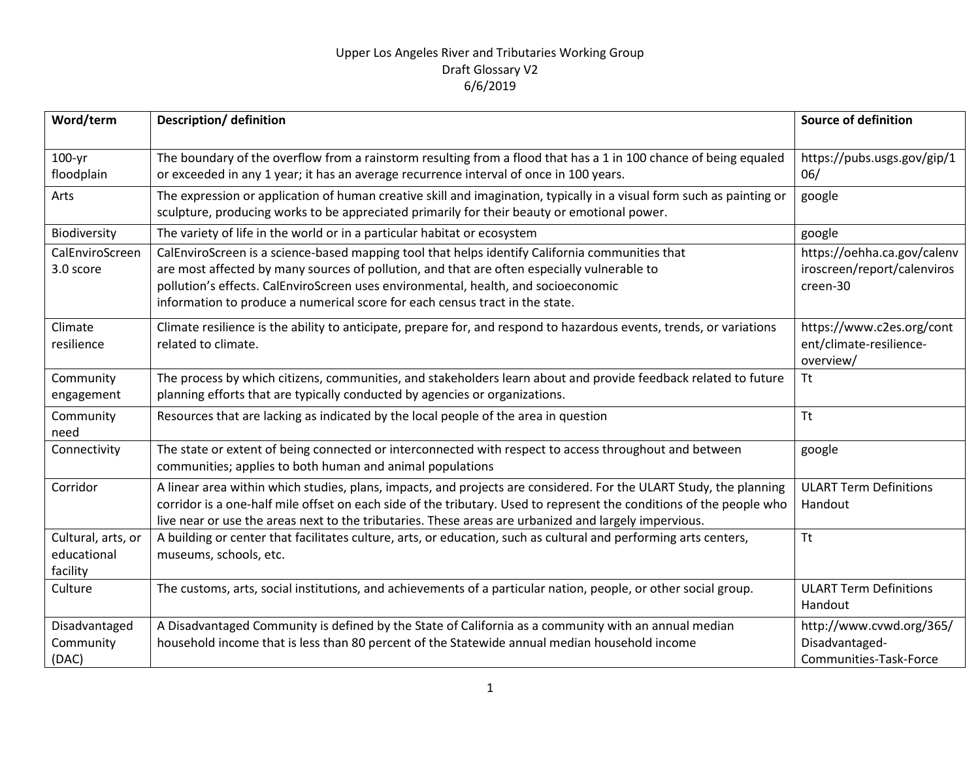| Word/term                                     | Description/ definition                                                                                                                                                                                                                                                                                                                                              | <b>Source of definition</b>                                            |
|-----------------------------------------------|----------------------------------------------------------------------------------------------------------------------------------------------------------------------------------------------------------------------------------------------------------------------------------------------------------------------------------------------------------------------|------------------------------------------------------------------------|
| $100 - yr$<br>floodplain                      | The boundary of the overflow from a rainstorm resulting from a flood that has a 1 in 100 chance of being equaled<br>or exceeded in any 1 year; it has an average recurrence interval of once in 100 years.                                                                                                                                                           | https://pubs.usgs.gov/gip/1<br>06/                                     |
| Arts                                          | The expression or application of human creative skill and imagination, typically in a visual form such as painting or<br>sculpture, producing works to be appreciated primarily for their beauty or emotional power.                                                                                                                                                 | google                                                                 |
| Biodiversity                                  | The variety of life in the world or in a particular habitat or ecosystem                                                                                                                                                                                                                                                                                             | google                                                                 |
| CalEnviroScreen<br>3.0 score                  | CalEnviroScreen is a science-based mapping tool that helps identify California communities that<br>are most affected by many sources of pollution, and that are often especially vulnerable to<br>pollution's effects. CalEnviroScreen uses environmental, health, and socioeconomic<br>information to produce a numerical score for each census tract in the state. | https://oehha.ca.gov/calenv<br>iroscreen/report/calenviros<br>creen-30 |
| Climate<br>resilience                         | Climate resilience is the ability to anticipate, prepare for, and respond to hazardous events, trends, or variations<br>related to climate.                                                                                                                                                                                                                          | https://www.c2es.org/cont<br>ent/climate-resilience-<br>overview/      |
| Community<br>engagement                       | The process by which citizens, communities, and stakeholders learn about and provide feedback related to future<br>planning efforts that are typically conducted by agencies or organizations.                                                                                                                                                                       | <b>Tt</b>                                                              |
| Community<br>need                             | Resources that are lacking as indicated by the local people of the area in question                                                                                                                                                                                                                                                                                  | <b>Tt</b>                                                              |
| Connectivity                                  | The state or extent of being connected or interconnected with respect to access throughout and between<br>communities; applies to both human and animal populations                                                                                                                                                                                                  | google                                                                 |
| Corridor                                      | A linear area within which studies, plans, impacts, and projects are considered. For the ULART Study, the planning<br>corridor is a one-half mile offset on each side of the tributary. Used to represent the conditions of the people who<br>live near or use the areas next to the tributaries. These areas are urbanized and largely impervious.                  | <b>ULART Term Definitions</b><br>Handout                               |
| Cultural, arts, or<br>educational<br>facility | A building or center that facilitates culture, arts, or education, such as cultural and performing arts centers,<br>museums, schools, etc.                                                                                                                                                                                                                           | Tt                                                                     |
| Culture                                       | The customs, arts, social institutions, and achievements of a particular nation, people, or other social group.                                                                                                                                                                                                                                                      | <b>ULART Term Definitions</b><br>Handout                               |
| Disadvantaged<br>Community<br>(DAC)           | A Disadvantaged Community is defined by the State of California as a community with an annual median<br>household income that is less than 80 percent of the Statewide annual median household income                                                                                                                                                                | http://www.cvwd.org/365/<br>Disadvantaged-<br>Communities-Task-Force   |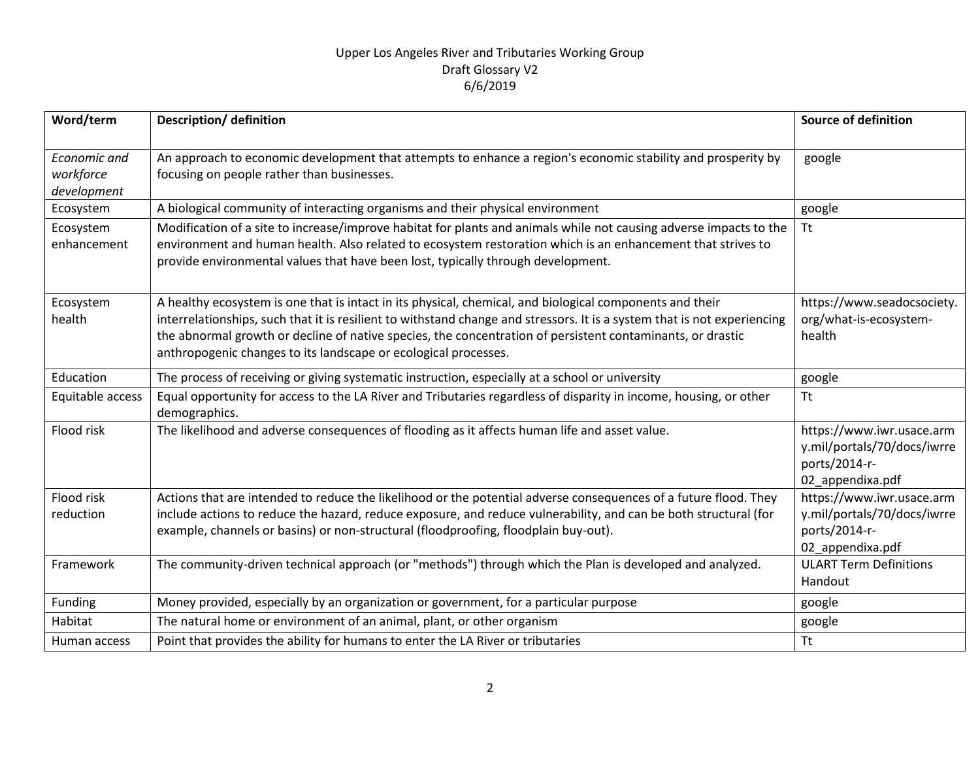| Word/term                                | <b>Description/ definition</b>                                                                                                                                                                                                                                                                                                                                                                                        | <b>Source of definition</b>                                                                   |
|------------------------------------------|-----------------------------------------------------------------------------------------------------------------------------------------------------------------------------------------------------------------------------------------------------------------------------------------------------------------------------------------------------------------------------------------------------------------------|-----------------------------------------------------------------------------------------------|
| Economic and<br>workforce<br>development | An approach to economic development that attempts to enhance a region's economic stability and prosperity by<br>focusing on people rather than businesses.                                                                                                                                                                                                                                                            | google                                                                                        |
| Ecosystem                                | A biological community of interacting organisms and their physical environment                                                                                                                                                                                                                                                                                                                                        | google                                                                                        |
| Ecosystem<br>enhancement                 | Modification of a site to increase/improve habitat for plants and animals while not causing adverse impacts to the<br>environment and human health. Also related to ecosystem restoration which is an enhancement that strives to<br>provide environmental values that have been lost, typically through development.                                                                                                 | <b>Tt</b>                                                                                     |
| Ecosystem<br>health                      | A healthy ecosystem is one that is intact in its physical, chemical, and biological components and their<br>interrelationships, such that it is resilient to withstand change and stressors. It is a system that is not experiencing<br>the abnormal growth or decline of native species, the concentration of persistent contaminants, or drastic<br>anthropogenic changes to its landscape or ecological processes. | https://www.seadocsociety.<br>org/what-is-ecosystem-<br>health                                |
| Education                                | The process of receiving or giving systematic instruction, especially at a school or university                                                                                                                                                                                                                                                                                                                       | google                                                                                        |
| Equitable access                         | Equal opportunity for access to the LA River and Tributaries regardless of disparity in income, housing, or other<br>demographics.                                                                                                                                                                                                                                                                                    | <b>Tt</b>                                                                                     |
| Flood risk                               | The likelihood and adverse consequences of flooding as it affects human life and asset value.                                                                                                                                                                                                                                                                                                                         | https://www.iwr.usace.arm<br>y.mil/portals/70/docs/iwrre<br>ports/2014-r-<br>02 appendixa.pdf |
| Flood risk<br>reduction                  | Actions that are intended to reduce the likelihood or the potential adverse consequences of a future flood. They<br>include actions to reduce the hazard, reduce exposure, and reduce vulnerability, and can be both structural (for<br>example, channels or basins) or non-structural (floodproofing, floodplain buy-out).                                                                                           | https://www.iwr.usace.arm<br>y.mil/portals/70/docs/iwrre<br>ports/2014-r-                     |
|                                          |                                                                                                                                                                                                                                                                                                                                                                                                                       | 02_appendixa.pdf                                                                              |
| Framework                                | The community-driven technical approach (or "methods") through which the Plan is developed and analyzed.                                                                                                                                                                                                                                                                                                              | <b>ULART Term Definitions</b><br>Handout                                                      |
| Funding                                  | Money provided, especially by an organization or government, for a particular purpose                                                                                                                                                                                                                                                                                                                                 | google                                                                                        |
| Habitat                                  | The natural home or environment of an animal, plant, or other organism                                                                                                                                                                                                                                                                                                                                                | google                                                                                        |
| Human access                             | Point that provides the ability for humans to enter the LA River or tributaries                                                                                                                                                                                                                                                                                                                                       | <b>Tt</b>                                                                                     |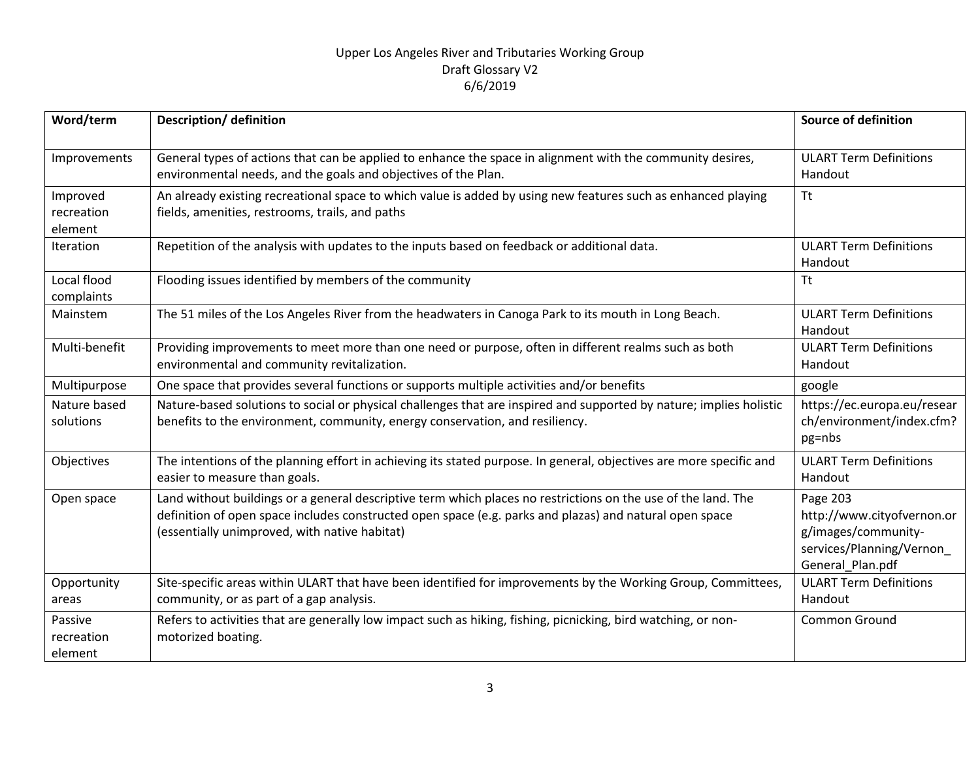| Word/term                         | <b>Description/ definition</b>                                                                                                                                                                                                                                            | <b>Source of definition</b>                                                                                   |
|-----------------------------------|---------------------------------------------------------------------------------------------------------------------------------------------------------------------------------------------------------------------------------------------------------------------------|---------------------------------------------------------------------------------------------------------------|
| Improvements                      | General types of actions that can be applied to enhance the space in alignment with the community desires,<br>environmental needs, and the goals and objectives of the Plan.                                                                                              | <b>ULART Term Definitions</b><br>Handout                                                                      |
| Improved<br>recreation<br>element | An already existing recreational space to which value is added by using new features such as enhanced playing<br>fields, amenities, restrooms, trails, and paths                                                                                                          | <b>Tt</b>                                                                                                     |
| Iteration                         | Repetition of the analysis with updates to the inputs based on feedback or additional data.                                                                                                                                                                               | <b>ULART Term Definitions</b><br>Handout                                                                      |
| Local flood<br>complaints         | Flooding issues identified by members of the community                                                                                                                                                                                                                    | <b>Tt</b>                                                                                                     |
| Mainstem                          | The 51 miles of the Los Angeles River from the headwaters in Canoga Park to its mouth in Long Beach.                                                                                                                                                                      | <b>ULART Term Definitions</b><br>Handout                                                                      |
| Multi-benefit                     | Providing improvements to meet more than one need or purpose, often in different realms such as both<br>environmental and community revitalization.                                                                                                                       | <b>ULART Term Definitions</b><br>Handout                                                                      |
| Multipurpose                      | One space that provides several functions or supports multiple activities and/or benefits                                                                                                                                                                                 | google                                                                                                        |
| Nature based<br>solutions         | Nature-based solutions to social or physical challenges that are inspired and supported by nature; implies holistic<br>benefits to the environment, community, energy conservation, and resiliency.                                                                       | https://ec.europa.eu/resear<br>ch/environment/index.cfm?<br>pg=nbs                                            |
| Objectives                        | The intentions of the planning effort in achieving its stated purpose. In general, objectives are more specific and<br>easier to measure than goals.                                                                                                                      | <b>ULART Term Definitions</b><br>Handout                                                                      |
| Open space                        | Land without buildings or a general descriptive term which places no restrictions on the use of the land. The<br>definition of open space includes constructed open space (e.g. parks and plazas) and natural open space<br>(essentially unimproved, with native habitat) | Page 203<br>http://www.cityofvernon.or<br>g/images/community-<br>services/Planning/Vernon<br>General_Plan.pdf |
| Opportunity<br>areas              | Site-specific areas within ULART that have been identified for improvements by the Working Group, Committees,<br>community, or as part of a gap analysis.                                                                                                                 | <b>ULART Term Definitions</b><br>Handout                                                                      |
| Passive<br>recreation<br>element  | Refers to activities that are generally low impact such as hiking, fishing, picnicking, bird watching, or non-<br>motorized boating.                                                                                                                                      | Common Ground                                                                                                 |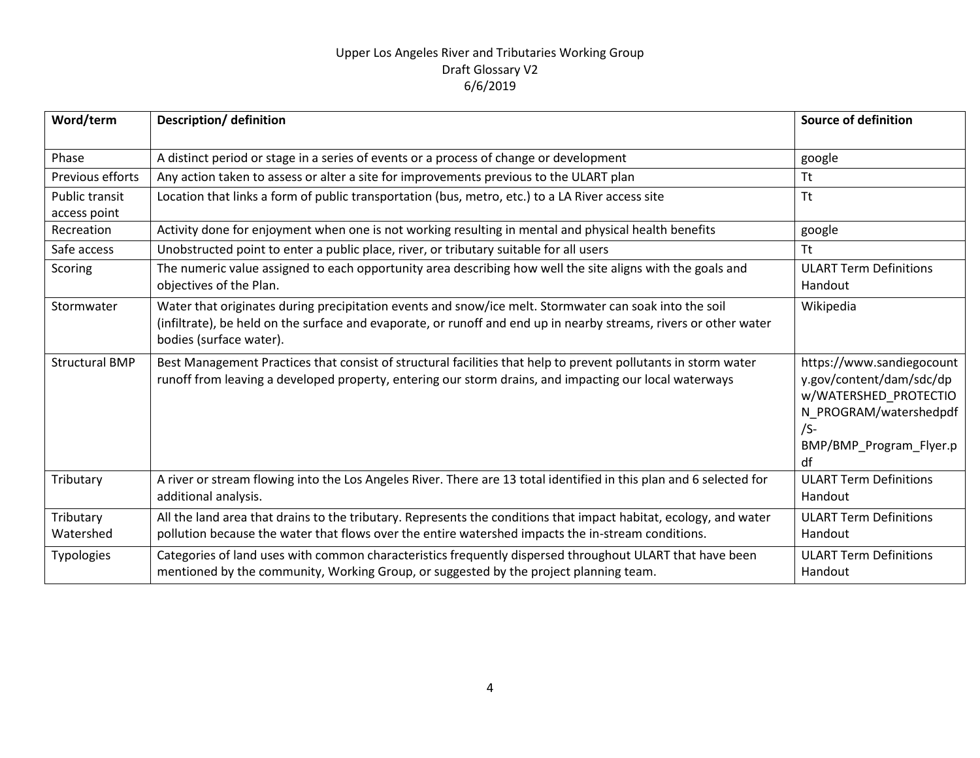| Word/term                      | <b>Description/ definition</b>                                                                                                                                                                                                                         | <b>Source of definition</b>                                                                                                                        |
|--------------------------------|--------------------------------------------------------------------------------------------------------------------------------------------------------------------------------------------------------------------------------------------------------|----------------------------------------------------------------------------------------------------------------------------------------------------|
| Phase                          | A distinct period or stage in a series of events or a process of change or development                                                                                                                                                                 | google                                                                                                                                             |
| Previous efforts               | Any action taken to assess or alter a site for improvements previous to the ULART plan                                                                                                                                                                 | <b>Tt</b>                                                                                                                                          |
| Public transit<br>access point | Location that links a form of public transportation (bus, metro, etc.) to a LA River access site                                                                                                                                                       | <b>Tt</b>                                                                                                                                          |
| Recreation                     | Activity done for enjoyment when one is not working resulting in mental and physical health benefits                                                                                                                                                   | google                                                                                                                                             |
| Safe access                    | Unobstructed point to enter a public place, river, or tributary suitable for all users                                                                                                                                                                 | <b>Tt</b>                                                                                                                                          |
| Scoring                        | The numeric value assigned to each opportunity area describing how well the site aligns with the goals and<br>objectives of the Plan.                                                                                                                  | <b>ULART Term Definitions</b><br>Handout                                                                                                           |
| Stormwater                     | Water that originates during precipitation events and snow/ice melt. Stormwater can soak into the soil<br>(infiltrate), be held on the surface and evaporate, or runoff and end up in nearby streams, rivers or other water<br>bodies (surface water). | Wikipedia                                                                                                                                          |
| <b>Structural BMP</b>          | Best Management Practices that consist of structural facilities that help to prevent pollutants in storm water<br>runoff from leaving a developed property, entering our storm drains, and impacting our local waterways                               | https://www.sandiegocount<br>y.gov/content/dam/sdc/dp<br>w/WATERSHED_PROTECTIO<br>N PROGRAM/watershedpdf<br>$/S-$<br>BMP/BMP Program Flyer.p<br>df |
| Tributary                      | A river or stream flowing into the Los Angeles River. There are 13 total identified in this plan and 6 selected for<br>additional analysis.                                                                                                            | <b>ULART Term Definitions</b><br>Handout                                                                                                           |
| Tributary<br>Watershed         | All the land area that drains to the tributary. Represents the conditions that impact habitat, ecology, and water<br>pollution because the water that flows over the entire watershed impacts the in-stream conditions.                                | <b>ULART Term Definitions</b><br>Handout                                                                                                           |
| Typologies                     | Categories of land uses with common characteristics frequently dispersed throughout ULART that have been<br>mentioned by the community, Working Group, or suggested by the project planning team.                                                      | <b>ULART Term Definitions</b><br>Handout                                                                                                           |